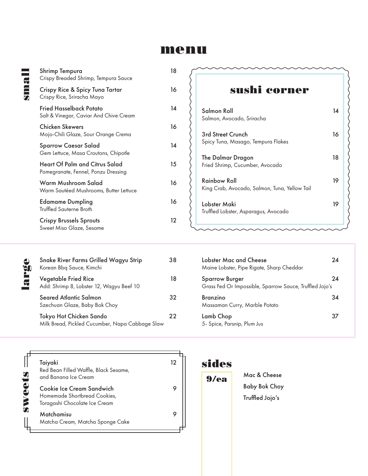## menu

| Shrimp Tempura<br>Crispy Breaded Shrimp, Tempura Sauce                       | 18 |
|------------------------------------------------------------------------------|----|
| Crispy Rice & Spicy Tuna Tartar<br>Crispy Rice, Sriracha Mayo                | 16 |
| <b>Fried Hasselback Potato</b><br>Salt & Vinegar, Caviar And Chive Cream     | 14 |
| <b>Chicken Skewers</b><br>Mojo-Chili Glaze, Sour Orange Crema                | 16 |
| Sparrow Caesar Salad<br>Gem Lettuce, Masa Croutons, Chipotle                 | 14 |
| <b>Heart Of Palm and Citrus Salad</b><br>Pomegranate, Fennel, Ponzu Dressing | 15 |
| Warm Mushroom Salad<br>Warm Sautéed Mushrooms, Butter Lettuce                | 16 |
| <b>Edamame Dumpling</b><br>Truffled Sauterne Broth                           | 16 |
| <b>Crispy Brussels Sprouts</b><br>Sweet Miso Glaze, Sesame                   | 12 |

## sushi corner

| Salmon Roll<br>Salmon, Avocado, Sriracha                             | 14 |  |
|----------------------------------------------------------------------|----|--|
| <b>3rd Street Crunch</b><br>Spicy Tuna, Masago, Tempura Flakes       | 16 |  |
| The Dalmar Dragon<br>Fried Shrimp, Cucumber, Avocado                 | 18 |  |
| <b>Rainbow Roll</b><br>King Crab, Avocado, Salmon, Tuna, Yellow Tail | 19 |  |
| Lobster Maki<br>Truffled Lobster, Asparagus, Avocado                 | 19 |  |

| Snake River Farms Grilled Wagyu Strip<br>Korean Bbq Sauce, Kimchi          | 38 |
|----------------------------------------------------------------------------|----|
| <b>Vegetable Fried Rice</b><br>Add: Shrimp 8, Lobster 12, Wagyu Beef 10    | 18 |
| Seared Atlantic Salmon<br>Szechuan Glaze, Baby Bok Choy                    | 32 |
| Tokyo Hot Chicken Sando<br>Milk Bread, Pickled Cucumber, Napa Cabbage Slaw | 22 |

| Lobster Mac and Cheese<br>Maine Lobster, Pipe Rigate, Sharp Cheddar              | 'ΖΔ |
|----------------------------------------------------------------------------------|-----|
| <b>Sparrow Burger</b><br>Grass Fed Or Impossible, Sparrow Sauce, Truffled Jojo's | 24  |
| Branzino<br>Massaman Curry, Marble Potato                                        | 34  |
| Lamb Chop<br>5- Spice, Parsnip, Plum Jus                                         | 37  |

|        | Taiyaki<br>Red Bean Filled Waffle, Black Sesame,<br>and Banana Ice Cream                   |  |
|--------|--------------------------------------------------------------------------------------------|--|
| sweets | Cookie Ice Cream Sandwich<br>Homemade Shortbread Cookies,<br>Toragashi Chocolate Ice Cream |  |
|        | Matchamisu<br>Matcha Cream, Matcha Sponge Cake                                             |  |

## sides

| $9$ /ea | Mac & Cheese         |
|---------|----------------------|
|         | <b>Baby Bok Choy</b> |
|         | Truffled Jojo's      |

large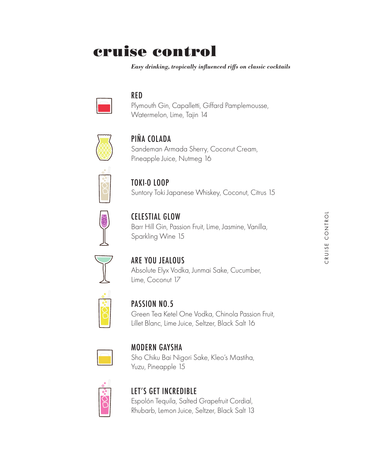# cruise control

*Easy drinking, tropically influenced riffs on classic cocktails*



#### RED

Plymouth Gin, Capalletti, Giffard Pamplemousse, Watermelon, Lime, Tajin 14



# PIÑA COLADA

Sandeman Armada Sherry, Coconut Cream, Pineapple Juice, Nutmeg 16



TOKI-O LOOP Suntory Toki Japanese Whiskey, Coconut, Citrus 15



CELESTIAL GLOW Barr Hill Gin, Passion Fruit, Lime, Jasmine, Vanilla, Sparkling Wine 15



#### ARE YOU JEALOUS Absolute Elyx Vodka, Junmai Sake, Cucumber, Lime, Coconut 17



#### PASSION NO.5 Green Tea Ketel One Vodka, Chinola Passion Fruit, Lillet Blanc, Lime Juice, Seltzer, Black Salt 16



#### MODERN GAYSHA Sho Chiku Bai Nigori Sake, Kleo's Mastiha,

Yuzu, Pineapple 15



#### LET'S GET INCREDIBLE

Espolón Tequila, Salted Grapefruit Cordial, Rhubarb, Lemon Juice, Seltzer, Black Salt 13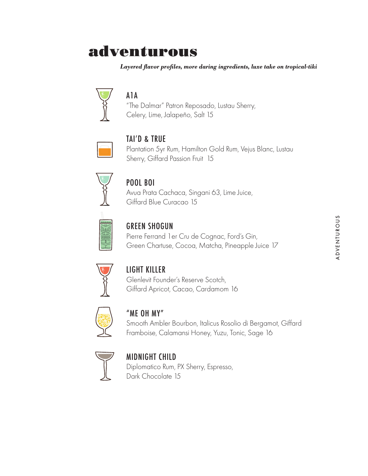## adventurous

*Layered flavor profiles, more daring ingredients, luxe take on tropical-tiki*



#### A1A

"The Dalmar" Patron Reposado, Lustau Sherry, Celery, Lime, Jalapeño, Salt 15



# TAI'D & TRUE

Plantation 5yr Rum, Hamilton Gold Rum, Vejus Blanc, Lustau Sherry, Giffard Passion Fruit 15



#### POOL BOI

Avua Prata Cachaca, Singani 63, Lime Juice, Giffard Blue Curacao 15



#### GREEN SHOGUN Pierre Ferrand 1er Cru de Cognac, Ford's Gin, Green Chartuse, Cocoa, Matcha, Pineapple Juice 17



#### LIGHT KILLER

Glenlevit Founder's Reserve Scotch, Giffard Apricot, Cacao, Cardamom 16



#### "ME OH MY"

Smooth Ambler Bourbon, Italicus Rosolio di Bergamot, Giffard Framboise, Calamansi Honey, Yuzu, Tonic, Sage 16



#### MIDNIGHT CHILD

Diplomatico Rum, PX Sherry, Espresso, Dark Chocolate 15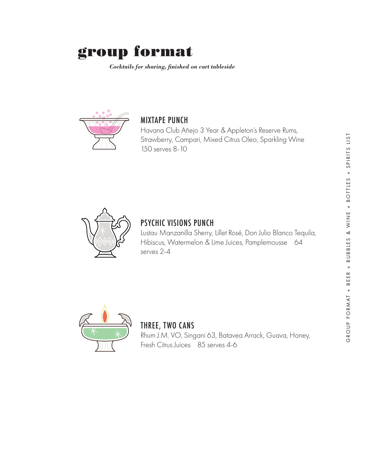# group format

*Cocktails for sharing, finished on cart tableside*



#### MIXTAPE PUNCH

Havana Club Añejo 3 Year & Appleton's Reserve Rums, Strawberry, Campari, Mixed Citrus Oleo, Sparkling Wine 150 serves 8-10



### PSYCHIC VISIONS PUNCH

Lustau Manzanilla Sherry, Lillet Rosé, Don Julio Blanco Tequila, Hibiscus, Watermelon & Lime Juices, Pamplemousse 64 serves 2-4



### THREE, TWO CANS

Rhum J.M. VO, Singani 63, Batavea Arrack, Guava, Honey, Fresh Citrus Juices 85 serves 4-6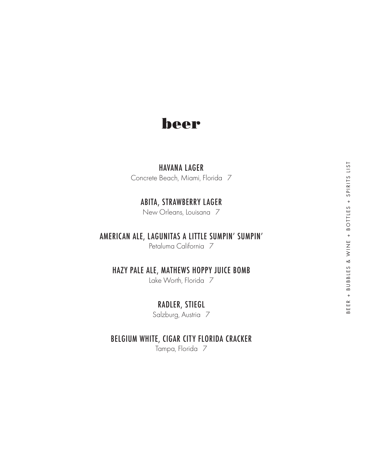

#### HAVANA LAGER

Concrete Beach, Miami, Florida 7

#### ABITA, STRAWBERRY LAGER

New Orleans, Louisana 7

#### AMERICAN ALE, LAGUNITAS A LITTLE SUMPIN' SUMPIN'

Petaluma California 7

#### HAZY PALE ALE, MATHEWS HOPPY JUICE BOMB

Lake Worth, Florida 7

#### RADLER, STIEGL

Salzburg, Austria 7

## BELGIUM WHITE, CIGAR CITY FLORIDA CRACKER

Tampa, Florida 7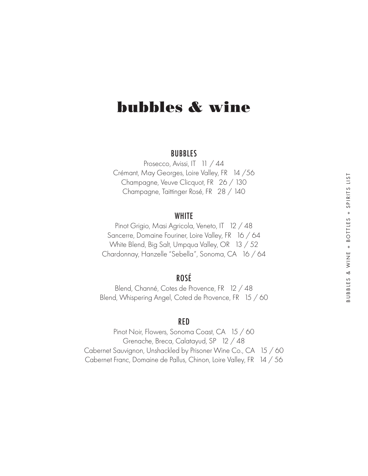## bubbles & wine

#### BUBBLES

Prosecco, Avissi, IT 11 / 44 Crémant, May Georges, Loire Valley, FR 14 /56 Champagne, Veuve Clicquot, FR 26 / 130 Champagne, Taittinger Rosé, FR 28 / 140

#### **WHITE**

Pinot Grigio, Masi Agricola, Veneto, IT 12 / 48 Sancerre, Domaine Fouriner, Loire Valley, FR 16 / 64 White Blend, Big Salt, Umpqua Valley, OR 13 / 52 Chardonnay, Hanzelle "Sebella", Sonoma, CA 16 / 64

#### ROSÉ

Blend, Channé, Cotes de Provence, FR 12 / 48 Blend, Whispering Angel, Coted de Provence, FR 15 / 60

#### RED

Pinot Noir, Flowers, Sonoma Coast, CA 15 / 60 Grenache, Breca, Calatayud, SP 12 / 48 Cabernet Sauvignon, Unshackled by Prisoner Wine Co., CA 15 / 60 Cabernet Franc, Domaine de Pallus, Chinon, Loire Valley, FR 14 / 56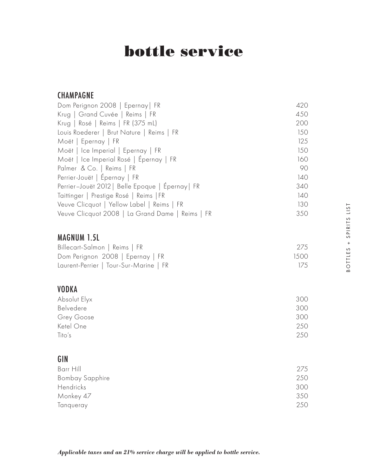# bottle service

#### CHAMPAGNE

| Dom Perignon 2008   Epernay   FR                 | 420 |
|--------------------------------------------------|-----|
| Krug   Grand Cuvée   Reims   FR                  | 450 |
| Krug   Rosé   Reims   FR (375 mL)                | 200 |
| Louis Roederer   Brut Nature   Reims   FR        | 150 |
| Moët   Epernay   FR                              | 125 |
| Moët   Ice Imperial   Epernay   FR               | 150 |
| Moët   Ice Imperial Rosé   Épernay   FR          | 160 |
| Palmer & Co.   Reims   FR                        | 90  |
| Perrier-Jouët   Épernay   FR                     | 140 |
| Perrier-Jouët 2012   Belle Epoque   Épernay   FR | 340 |
| Taittinger   Prestige Rosé   Reims   FR          | 140 |
| Veuve Clicquot   Yellow Label   Reims   FR       | 130 |
| Veuve Clicquot 2008   La Grand Dame   Reims   FR | 350 |

#### MAGNUM 1.5L

| Billecart-Salmon   Reims   FR          | - 275 |
|----------------------------------------|-------|
| Dom Perignon 2008   Epernay   FR       | 1500  |
| Laurent-Perrier   Tour-Sur-Marine   FR | 1/5   |

#### VODKA

| Absolut Elyx | 300 |
|--------------|-----|
| Belvedere    | 300 |
| Grey Goose   | 300 |
| Ketel One    | 250 |
| Tito's       | 250 |

#### GIN

| Barr Hill              | 275 |
|------------------------|-----|
| <b>Bombay Sapphire</b> | 250 |
| Hendricks              | 300 |
| Monkey 47              | 350 |
| Tanqueray              | 250 |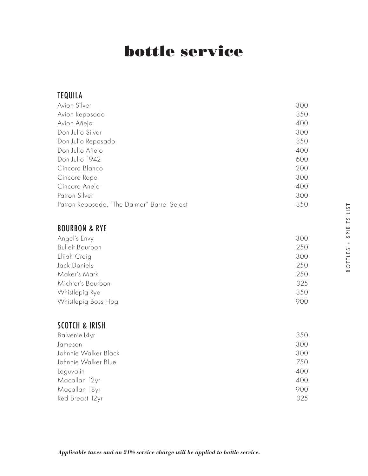# bottle service

#### TEQUILA

| Avion Silver                                | 300 |
|---------------------------------------------|-----|
| Avion Reposado                              | 350 |
| Avion Añejo                                 | 400 |
| Don Julio Silver                            | 300 |
| Don Julio Reposado                          | 350 |
| Don Julio Añejo                             | 400 |
| Don Julio 1942                              | 600 |
| Cincoro Blanco                              | 200 |
| Cincoro Repo                                | 300 |
| Cincoro Anejo                               | 400 |
| Patron Silver                               | 300 |
| Patron Reposado, "The Dalmar" Barrel Select | 350 |

#### BOURBON & RYE

| Angel's Envy           | 300 |
|------------------------|-----|
| <b>Bulleit Bourbon</b> | 250 |
| Elijah Craig           | 300 |
| Jack Daniels           | 250 |
| Maker's Mark           | 250 |
| Michter's Bourbon      | 325 |
| Whistlepig Rye         | 350 |
| Whistlepig Boss Hog    | 900 |

#### SCOTCH & IRISH

| Balvenie 14yr        | 350 |
|----------------------|-----|
| Jameson              | 300 |
| Johnnie Walker Black | 300 |
| Johnnie Walker Blue  | 750 |
| Laguvalin            | 400 |
| Macallan 12yr        | 400 |
| Macallan 18yr        | 900 |
| Red Breast 12yr      | 325 |